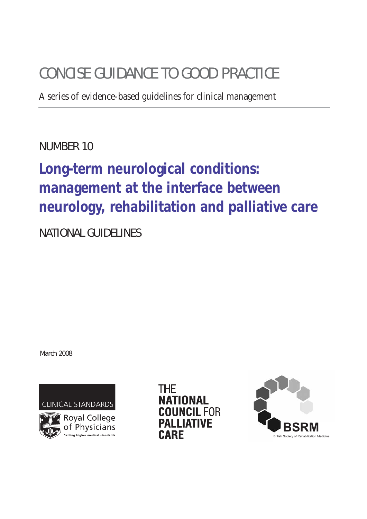# CONCISE GUIDANCE TO GOOD PRACTICE

A series of evidence-based guidelines for clinical management

NUMBER 10

# **Long-term neurological conditions: management at the interface between neurology, rehabilitation and palliative care**

NATIONAL GUIDELINES

March 2008

CLINICAL STANDARDS



Royal College of Physicians Setting higher medical standard

THE NATIONAL **IUNCIL FOR PALLIATIVE CARE** 

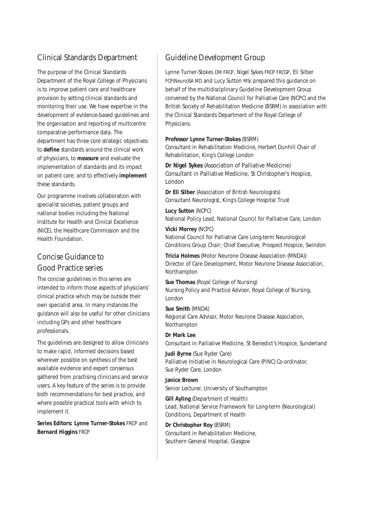## Clinical Standards Department

The purpose of the Clinical Standards Department of the Royal College of Physicians is to improve patient care and healthcare provision by setting clinical standards and monitoring their use. We have expertise in the development of evidence-based guidelines and the organisation and reporting of multicentre comparative performance data. The department has three core strategic objectives: to **define** standards around the clinical work of physicians, to **measure** and evaluate the implementation of standards and its impact on patient care; and to effectively **implement** these standards.

Our programme involves collaboration with specialist societies, patient groups and national bodies including the National Institute for Health and Clinical Excellence (NICE), the Healthcare Commission and the Health Foundation.

## Concise Guidance to Good Practice series

The concise guidelines in this series are intended to inform those aspects of physicians' clinical practice which may be outside their own specialist area. In many instances the guidance will also be useful for other clinicians including GPs and other healthcare professionals.

The guidelines are designed to allow clinicians to make rapid, informed decisions based wherever possible on synthesis of the best available evidence and expert consensus gathered from practising clinicians and service users. A key feature of the series is to provide both recommendations for best practice, and where possible practical tools with which to implement it.

**Series Editors: Lynne Turner-Stokes** FRCP and **Bernard Higgins** FRCP

## Guideline Development Group

Lynne Turner-Stokes DM FRCP, Nigel Sykes FRCP FRCGP, Eli Silber FCP(Neuro)SA MD and Lucy Sutton MSc prepared this guidance on behalf of the multidisciplinary Guideline Development Group convened by the National Council for Palliative Care (NCPC) and the British Society of Rehabilitation Medicine (BSRM) in association with the Clinical Standards Department of the Royal College of Physicians.

### **Professor Lynne Turner-Stokes** (BSRM)

Consultant in Rehabilitation Medicine, Herbert Dunhill Chair of Rehabilitation, King's College London

**Dr Nigel Sykes** (Association of Palliative Medicine) Consultant in Palliative Medicine, St Christopher's Hospice, London

**Dr Eli Silber** (Association of British Neurologists) Consultant Neurologist, King's College Hospital Trust

**Lucy Sutton** (NCPC) National Policy Lead, National Council for Palliative Care, London

## **Vicki Morrey** (NCPC)

National Council for Palliative Care Long-term Neurological Conditions Group Chair; Chief Executive, Prospect Hospice, Swindon

**Tricia Holmes** (Motor Neurone Disease Association (MNDA)) Director of Care Development, Motor Neurone Disease Association, Northampton

**Sue Thomas** (Royal College of Nursing) Nursing Policy and Practice Advisor, Royal College of Nursing, London

**Sue Smith** (MNDA) Regional Care Advisor, Motor Neurone Disease Association, Northampton

**Dr Mark Lee** Consultant in Palliative Medicine, St Benedict's Hospice, Sunderland

**Judi Byrne** (Sue Ryder Care) Palliative Initiative in Neurological Care (PINC) Co-ordinator, Sue Ryder Care, London

**Janice Brown**

Senior Lecturer, University of Southampton

**Gill Ayling** (Department of Health) Lead, National Service Framework for Long-term (Neurological) Conditions, Department of Health

**Dr Christopher Roy** (BSRM) Consultant in Rehabilitation Medicine, Southern General Hospital, Glasgow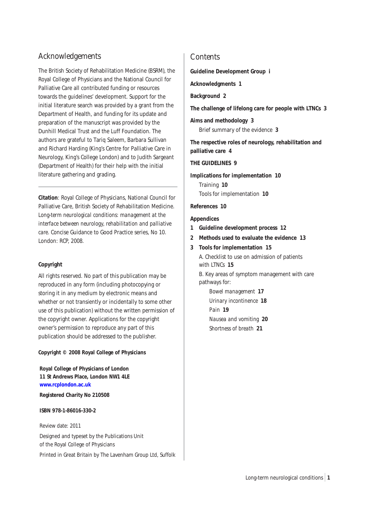## Acknowledgements

The British Society of Rehabilitation Medicine (BSRM), the Royal College of Physicians and the National Council for Palliative Care all contributed funding or resources towards the guidelines' development. Support for the initial literature search was provided by a grant from the Department of Health, and funding for its update and preparation of the manuscript was provided by the Dunhill Medical Trust and the Luff Foundation. The authors are grateful to Tariq Saleem, Barbara Sullivan and Richard Harding (King's Centre for Palliative Care in Neurology, King's College London) and to Judith Sargeant (Department of Health) for their help with the initial literature gathering and grading.

**Citation**: Royal College of Physicians, National Council for Palliative Care, British Society of Rehabilitation Medicine. *Long-term neurological conditions: management at the interface between neurology, rehabilitation and palliative care*. Concise Guidance to Good Practice series, No 10. London: RCP, 2008.

### **Copyright**

All rights reserved. No part of this publication may be reproduced in any form (including photocopying or storing it in any medium by electronic means and whether or not transiently or incidentally to some other use of this publication) without the written permission of the copyright owner. Applications for the copyright owner's permission to reproduce any part of this publication should be addressed to the publisher.

**Copyright © 2008 Royal College of Physicians**

**Royal College of Physicians of London 11 St Andrews Place, London NW1 4LE [www.rcplondon.ac.uk](http://www.rcplondon.ac.uk) Registered Charity No 210508**

**ISBN 978-1-86016-330-2**

Review date: 2011

Designed and typeset by the Publications Unit of the Royal College of Physicians

Printed in Great Britain by The Lavenham Group Ltd, Suffolk

## **Contents**

**Guideline Development Group i**

**Acknowledgments 1**

## **Background 2**

**The challenge of lifelong care for people with LTNCs 3**

**Aims and methodology 3**

Brief summary of the evidence **3**

**The respective roles of neurology, rehabilitation and palliative care 4**

### **THE GUIDELINES 9**

**Implications for implementation 10** Training **10** Tools for implementation **10**

**References 10**

### **Appendices**

- **1 Guideline development process 12**
- **2 Methods used to evaluate the evidence 13**
- **3 Tools for implementation 15** A. Checklist to use on admission of patients with LTNCs **15**

B. Key areas of symptom management with care pathways for:

*Bowel management* **17** *Urinary incontinence* **18** *Pain* **19** *Nausea and vomiting* **20** *Shortness of breath* **21**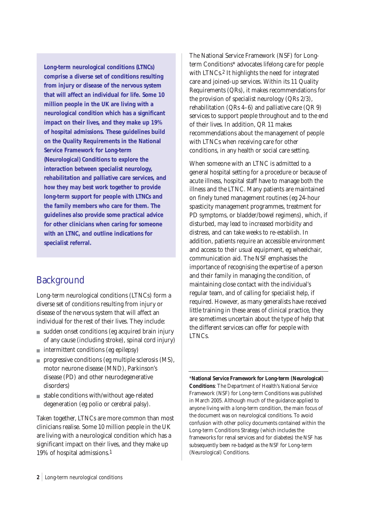**Long-term neurological conditions (LTNCs) comprise a diverse set of conditions resulting from injury or disease of the nervous system that will affect an individual for life. Some 10 million people in the UK are living with a neurological condition which has a significant impact on their lives, and they make up 19% of hospital admissions. These guidelines build on the Quality Requirements in the National Service Framework for Long-term (Neurological) Conditions to explore the interaction between specialist neurology, rehabilitation and palliative care services, and how they may best work together to provide long-term support for people with LTNCs and the family members who care for them. The guidelines also provide some practical advice for other clinicians when caring for someone with an LTNC, and outline indications for specialist referral.** 

# **Background**

Long-term neurological conditions (LTNCs) form a diverse set of conditions resulting from injury or disease of the nervous system that will affect an individual for the rest of their lives. They include:

- sudden onset conditions (eg acquired brain injury of any cause (including stroke), spinal cord injury)
- intermittent conditions (eg epilepsy)
- progressive conditions (eg multiple sclerosis (MS), motor neurone disease (MND), Parkinson's disease (PD) and other neurodegenerative disorders)
- stable conditions with/without age-related degeneration (eg polio or cerebral palsy).

Taken together, LTNCs are more common than most clinicians realise. Some 10 million people in the UK are living with a neurological condition which has a significant impact on their lives, and they make up 19% of hospital admissions.1

The National Service Framework (NSF) for Longterm Conditions\* advocates lifelong care for people with LTNCs.2 It highlights the need for integrated care and joined-up services. Within its 11 Quality Requirements (QRs), it makes recommendations for the provision of specialist neurology (QRs 2/3), rehabilitation (QRs 4–6) and palliative care (QR 9) services to support people throughout and to the end of their lives. In addition, QR 11 makes recommendations about the management of people with LTNCs when receiving care for other conditions, in any health or social care setting.

When someone with an LTNC is admitted to a general hospital setting for a procedure or because of acute illness, hospital staff have to manage both the illness and the LTNC. Many patients are maintained on finely tuned management routines (eg 24-hour spasticity management programmes, treatment for PD symptoms, or bladder/bowel regimens), which, if disturbed, may lead to increased morbidity and distress, and can take weeks to re-establish. In addition, patients require an accessible environment and access to their usual equipment, eg wheelchair, communication aid. The NSF emphasises the importance of recognising the expertise of a person and their family in managing the condition, of maintaining close contact with the individual's regular team, and of calling for specialist help, if required. However, as many generalists have received little training in these areas of clinical practice, they are sometimes uncertain about the type of help that the different services can offer for people with LTNCs.

\***National Service Framework for Long-term (Neurological) Conditions**: The Department of Health's National Service Framework (NSF) for Long-term Conditions was published in March 2005. Although much of the guidance applied to anyone living with a long-term condition, the main focus of the document was on neurological conditions. To avoid confusion with other policy documents contained within the Long-term Conditions Strategy (which includes the frameworks for renal services and for diabetes) the NSF has subsequently been re-badged as the NSF for Long-term (Neurological) Conditions.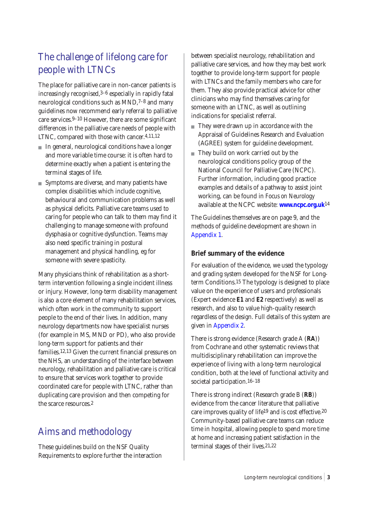# The challenge of lifelong care for people with LTNCs

The place for palliative care in non-cancer patients is increasingly recognised,3–6 especially in rapidly fatal neurological conditions such as MND,7–8 and many guidelines now recommend early referral to palliative care services.9–10 However, there are some significant differences in the palliative care needs of people with LTNC, compared with those with cancer.4,11,12

- In general, neurological conditions have a longer and more variable time course: it is often hard to determine exactly when a patient is entering the terminal stages of life.
- Symptoms are diverse, and many patients have complex disabilities which include cognitive, behavioural and communication problems as well as physical deficits. Palliative care teams used to caring for people who can talk to them may find it challenging to manage someone with profound dysphasia or cognitive dysfunction. Teams may also need specific training in postural management and physical handling, eg for someone with severe spasticity.

Many physicians think of rehabilitation as a shortterm intervention following a single incident illness or injury. However, long-term disability management is also a core element of many rehabilitation services, which often work in the community to support people to the end of their lives. In addition, many neurology departments now have specialist nurses (for example in MS, MND or PD), who also provide long-term support for patients and their families.12,13 Given the current financial pressures on the NHS, an understanding of the interface between neurology, rehabilitation and palliative care is critical to ensure that services work together to provide coordinated care for people with LTNC, rather than duplicating care provision and then competing for the scarce resources.2

# Aims and methodology

These guidelines build on the NSF Quality Requirements to explore further the interaction between specialist neurology, rehabilitation and palliative care services, and how they may best work together to provide long-term support for people with LTNCs and the family members who care for them. They also provide practical advice for other clinicians who may find themselves caring for someone with an LTNC, as well as outlining indications for specialist referral.

- They were drawn up in accordance with the Appraisal of Guidelines Research and Evaluation (AGREE) system for guideline development.
- They build on work carried out by the neurological conditions policy group of the National Council for Palliative Care (NCPC). Further information, including good practice examples and details of a pathway to assist joint working, can be found in *Focus on Neurology* available at the NCPC website: **[www.ncpc.org.uk](http://www.ncpc.org.uk)**14

The Guidelines themselves are on page 9, and the methods of guideline development are shown in [Appendix 1.](#page-13-0) 

## **Brief summary of the evidence**

For evaluation of the evidence, we used the typology and grading system developed for the NSF for Longterm Conditions.15 The typology is designed to place value on the experience of users and professionals (Expert evidence **E1** and **E2** respectively) as well as research, and also to value high-quality research regardless of the design. Full details of this system are given [in Appendix 2.](#page-14-0)

There is strong evidence (Research grade A (**RA**)) from Cochrane and other systematic reviews that multidisciplinary rehabilitation can improve the experience of living with a long-term neurological condition, both at the level of functional activity and societal participation.16–18

There is strong indirect (Research grade B (**RB**)) evidence from the cancer literature that palliative care improves quality of life19 and is cost effective.20 Community-based palliative care teams can reduce time in hospital, allowing people to spend more time at home and increasing patient satisfaction in the terminal stages of their lives.21,22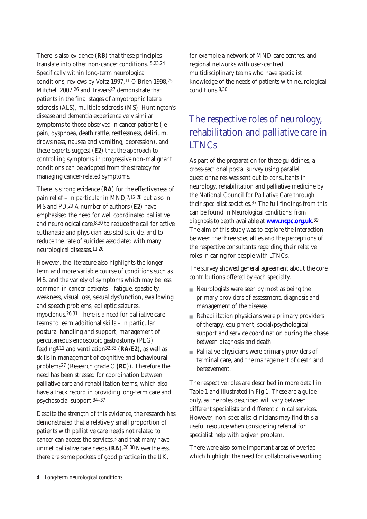There is also evidence (**RB**) that these principles translate into other non-cancer conditions. 5,23,24 Specifically within long-term neurological conditions, reviews by Voltz 1997,11 O'Brien 1998,25 Mitchell 2007,26 and Travers27 demonstrate that patients in the final stages of amyotrophic lateral sclerosis (ALS), multiple sclerosis (MS), Huntington's disease and dementia experience very similar symptoms to those observed in cancer patients (ie pain, dyspnoea, death rattle, restlessness, delirium, drowsiness, nausea and vomiting, depression), and these experts suggest (**E2**) that the approach to controlling symptoms in progressive non-malignant conditions can be adopted from the strategy for managing cancer-related symptoms.

There is strong evidence (**RA**) for the effectiveness of pain relief – in particular in MND,7,12,28 but also in MS and PD.29 A number of authors (**E2**) have emphasised the need for well coordinated palliative and neurological care,8,30 to reduce the call for active euthanasia and physician-assisted suicide, and to reduce the rate of suicides associated with many neurological diseases.11,26

However, the literature also highlights the longerterm and more variable course of conditions such as MS, and the variety of symptoms which may be less common in cancer patients – fatigue, spasticity, weakness, visual loss, sexual dysfunction, swallowing and speech problems, epileptic seizures, myoclonus.26,31 There is a need for palliative care teams to learn additional skills – in particular postural handling and support, management of percutaneous endoscopic gastrostomy (PEG) feeding8,11 and ventilation32,33 (**RA/E2**), as well as skills in management of cognitive and behavioural problems27 (Research grade C **(RC**)). Therefore the need has been stressed for coordination between palliative care and rehabilitation teams, which also have a track record in providing long-term care and psychosocial support.34–37

Despite the strength of this evidence, the research has demonstrated that a relatively small proportion of patients with palliative care needs not related to cancer can access the services,3 and that many have unmet palliative care needs (**RA**).28,38 Nevertheless, there are some pockets of good practice in the UK,

for example a network of MND care centres, and regional networks with user-centred multidisciplinary teams who have specialist knowledge of the needs of patients with neurological conditions.8,30

# The respective roles of neurology, rehabilitation and palliative care in LTNCs

As part of the preparation for these guidelines, a cross-sectional postal survey using parallel questionnaires was sent out to consultants in neurology, rehabilitation and palliative medicine by the National Council for Palliative Care through their specialist societies.37 The full findings from this can be found in *Neurological conditions: from diagnosis to death* available at **[www.ncpc.org.uk](http://www.ncpc.org.uk)**.39 The aim of this study was to explore the interaction between the three specialties and the perceptions of the respective consultants regarding their relative roles in caring for people with LTNCs.

The survey showed general agreement about the core contributions offered by each specialty.

- Neurologists were seen by most as being the primary providers of assessment, diagnosis and management of the disease.
- Rehabilitation physicians were primary providers of therapy, equipment, social/psychological support and service coordination during the phase between diagnosis and death.
- Palliative physicians were primary providers of terminal care, and the management of death and bereavement.

The respective roles are described in more detail in Table 1 and illustrated in Fig 1. These are a guide only, as the roles described will vary between different specialists and different clinical services. However, non-specialist clinicians may find this a useful resource when considering referral for specialist help with a given problem.

There were also some important areas of overlap which highlight the need for collaborative working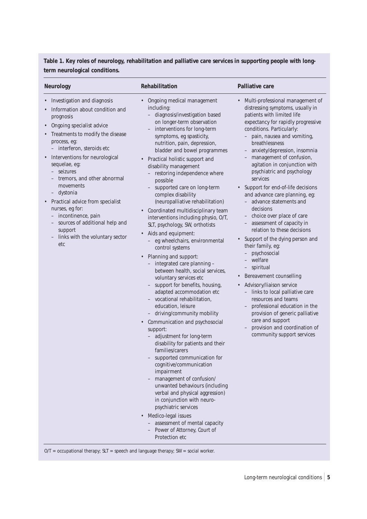**Table 1. Key roles of neurology, rehabilitation and palliative care services in supporting people with longterm neurological conditions.** 

| <b>Neurology</b>                                                                                                                                                                                                                                                                                                                                                                                                                                                                                                                                                                  | Rehabilitation                                                                                                                                                                                                                                                                                                                                                                                                                                                                                                                                                                                                                                                                                                                                                                                                                                                                                                                                                                                                                                                                                                                                                                                                                                                                                                                                                                                                                                 | <b>Palliative care</b>                                                                                                                                                                                                                                                                                                                                                                                                                                                                                                                                                                                                                                                                                                                                                                                                                                                                                                                                                    |
|-----------------------------------------------------------------------------------------------------------------------------------------------------------------------------------------------------------------------------------------------------------------------------------------------------------------------------------------------------------------------------------------------------------------------------------------------------------------------------------------------------------------------------------------------------------------------------------|------------------------------------------------------------------------------------------------------------------------------------------------------------------------------------------------------------------------------------------------------------------------------------------------------------------------------------------------------------------------------------------------------------------------------------------------------------------------------------------------------------------------------------------------------------------------------------------------------------------------------------------------------------------------------------------------------------------------------------------------------------------------------------------------------------------------------------------------------------------------------------------------------------------------------------------------------------------------------------------------------------------------------------------------------------------------------------------------------------------------------------------------------------------------------------------------------------------------------------------------------------------------------------------------------------------------------------------------------------------------------------------------------------------------------------------------|---------------------------------------------------------------------------------------------------------------------------------------------------------------------------------------------------------------------------------------------------------------------------------------------------------------------------------------------------------------------------------------------------------------------------------------------------------------------------------------------------------------------------------------------------------------------------------------------------------------------------------------------------------------------------------------------------------------------------------------------------------------------------------------------------------------------------------------------------------------------------------------------------------------------------------------------------------------------------|
| Investigation and diagnosis<br>$\bullet$<br>Information about condition and<br>prognosis<br>Ongoing specialist advice<br>$\bullet$<br>Treatments to modify the disease<br>$\bullet$<br>process, eg:<br>- interferon, steroids etc<br>Interventions for neurological<br>sequelae, eg:<br>- seizures<br>tremors, and other abnormal<br>movements<br>dystonia<br>$\qquad \qquad -$<br>Practical advice from specialist<br>nurses, eg for:<br>- incontinence, pain<br>sources of additional help and<br>support<br>links with the voluntary sector<br>$\overline{\phantom{a}}$<br>etc | Ongoing medical management<br>including:<br>diagnosis/investigation based<br>on longer-term observation<br>interventions for long-term<br>symptoms, eg spasticity,<br>nutrition, pain, depression,<br>bladder and bowel programmes<br>Practical holistic support and<br>disability management<br>restoring independence where<br>possible<br>supported care on long-term<br>complex disability<br>(neuropalliative rehabilitation)<br>Coordinated multidisciplinary team<br>interventions including physio, O/T,<br>SLT, psychology, SW, orthotists<br>Aids and equipment:<br>$\bullet$<br>eg wheelchairs, environmental<br>control systems<br>• Planning and support:<br>integrated care planning -<br>$-$<br>between health, social services,<br>voluntary services etc<br>support for benefits, housing,<br>$\overline{\phantom{a}}$<br>adapted accommodation etc<br>- vocational rehabilitation,<br>education, leisure<br>- driving/community mobility<br>Communication and psychosocial<br>support:<br>- adjustment for long-term<br>disability for patients and their<br>families/carers<br>supported communication for<br>cognitive/communication<br>impairment<br>- management of confusion/<br>unwanted behaviours (including<br>verbal and physical aggression)<br>in conjunction with neuro-<br>psychiatric services<br>• Medico-legal issues<br>- assessment of mental capacity<br>- Power of Attorney, Court of<br>Protection etc | Multi-professional management of<br>distressing symptoms, usually in<br>patients with limited life<br>expectancy for rapidly progressive<br>conditions. Particularly:<br>- pain, nausea and vomiting,<br>breathlessness<br>- anxiety/depression, insomnia<br>management of confusion,<br>agitation in conjunction with<br>psychiatric and psychology<br>services<br>Support for end-of-life decisions<br>and advance care planning, eg:<br>- advance statements and<br>decisions<br>- choice over place of care<br>- assessment of capacity in<br>relation to these decisions<br>Support of the dying person and<br>their family, eg:<br>- psychosocial<br>- welfare<br>- spiritual<br>Bereavement counselling<br>$\bullet$<br>Advisory/liaison service<br>- links to local palliative care<br>resources and teams<br>professional education in the<br>provision of generic palliative<br>care and support<br>provision and coordination of<br>community support services |

 $O/T =$  occupational therapy; SLT = speech and language therapy; SW = social worker.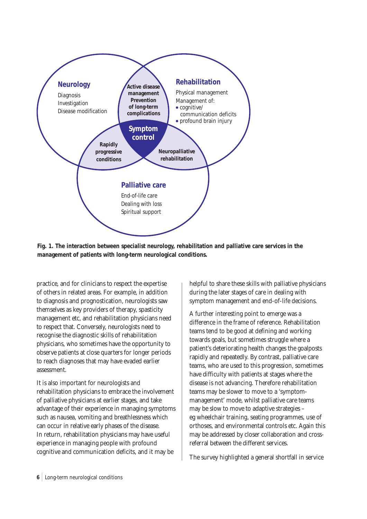

**Fig. 1. The interaction between specialist neurology, rehabilitation and palliative care services in the management of patients with long-term neurological conditions.** 

practice, and for clinicians to respect the expertise of others in related areas. For example, in addition to diagnosis and prognostication, neurologists saw themselves as key providers of therapy, spasticity management etc, and rehabilitation physicians need to respect that. Conversely, neurologists need to recognise the diagnostic skills of rehabilitation physicians, who sometimes have the opportunity to observe patients at close quarters for longer periods to reach diagnoses that may have evaded earlier assessment.

It is also important for neurologists and rehabilitation physicians to embrace the involvement of palliative physicians at earlier stages, and take advantage of their experience in managing symptoms such as nausea, vomiting and breathlessness which can occur in relative early phases of the disease. In return, rehabilitation physicians may have useful experience in managing people with profound cognitive and communication deficits, and it may be

helpful to share these skills with palliative physicians during the later stages of care in dealing with symptom management and end-of-life decisions.

A further interesting point to emerge was a difference in the frame of reference. Rehabilitation teams tend to be good at defining and working towards goals, but sometimes struggle where a patient's deteriorating health changes the goalposts rapidly and repeatedly. By contrast, palliative care teams, who are used to this progression, sometimes have difficulty with patients at stages where the disease is not advancing. Therefore rehabilitation teams may be slower to move to a 'symptommanagement' mode, whilst palliative care teams may be slow to move to adaptive strategies – eg wheelchair training, seating programmes, use of orthoses, and environmental controls etc. Again this may be addressed by closer collaboration and crossreferral between the different services.

The survey highlighted a general shortfall in service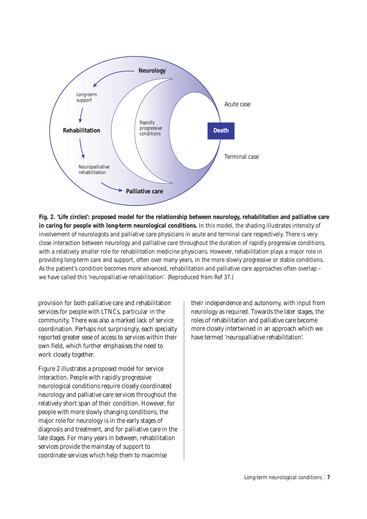

**Fig. 2. 'Life circles': proposed model for the relationship between neurology, rehabilitation and palliative care in caring for people with long-term neurological conditions.** In this model, the shading illustrates intensity of involvement of neurologists and palliative care physicians in acute and terminal care respectively. There is very close interaction between neurology and palliative care throughout the duration of rapidly progressive conditions, with a relatively smaller role for rehabilitation medicine physicians. However, rehabilitation plays a major role in providing long-term care and support, often over many years, in the more slowly progressive or stable conditions. As the patient's condition becomes more advanced, rehabilitation and palliative care approaches often overlap – we have called this 'neuropalliative rehabilitation'. (Reproduced from Ref 37.)

provision for both palliative care and rehabilitation services for people with LTNCs, particular in the community. There was also a marked lack of service coordination. Perhaps not surprisingly, each specialty reported greater ease of access to services within their own field, which further emphasises the need to work closely together.

Figure 2 illustrates a proposed model for service interaction. People with rapidly progressive neurological conditions require closely coordinated neurology and palliative care services throughout the relatively short span of their condition. However, for people with more slowly changing conditions, the major role for neurology is in the early stages of diagnosis and treatment, and for palliative care in the late stages. For many years in between, rehabilitation services provide the mainstay of support to coordinate services which help them to maximise

their independence and autonomy, with input from neurology as required. Towards the later stages, the roles of rehabilitation and palliative care become more closely intertwined in an approach which we have termed 'neuropalliative rehabilitation'.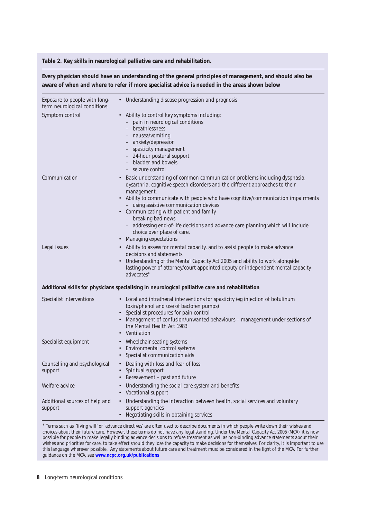### **Table 2. Key skills in neurological palliative care and rehabilitation.**

**Every physician should have an understanding of the general principles of management, and should also be aware of when and where to refer if more specialist advice is needed in the areas shown below**

| Exposure to people with long-<br>term neurological conditions | • Understanding disease progression and prognosis                                                                                                                                                                                                                                                                                                                                                                                                                                                                                   |
|---------------------------------------------------------------|-------------------------------------------------------------------------------------------------------------------------------------------------------------------------------------------------------------------------------------------------------------------------------------------------------------------------------------------------------------------------------------------------------------------------------------------------------------------------------------------------------------------------------------|
| Symptom control                                               | • Ability to control key symptoms including:<br>- pain in neurological conditions<br>breathlessness<br>- nausea/vomiting<br>- anxiety/depression<br>- spasticity management<br>- 24-hour postural support<br>- bladder and bowels<br>- seizure control                                                                                                                                                                                                                                                                              |
| Communication                                                 | • Basic understanding of common communication problems including dysphasia,<br>dysarthria, cognitive speech disorders and the different approaches to their<br>management.<br>• Ability to communicate with people who have cognitive/communication impairments<br>- using assistive communication devices<br>Communicating with patient and family<br>$\bullet$<br>- breaking bad news<br>- addressing end-of-life decisions and advance care planning which will include<br>choice over place of care.<br>• Managing expectations |
| Legal issues                                                  | • Ability to assess for mental capacity, and to assist people to make advance<br>decisions and statements<br>Understanding of the Mental Capacity Act 2005 and ability to work alongside<br>lasting power of attorney/court appointed deputy or independent mental capacity<br>advocates*                                                                                                                                                                                                                                           |
|                                                               | Additional skills for physicians specialising in neurological palliative care and rehabilitation                                                                                                                                                                                                                                                                                                                                                                                                                                    |
| Specialist interventions                                      | • Local and intrathecal interventions for spasticity (eg injection of botulinum<br>toxin/phenol and use of baclofen pumps)<br>• Specialist procedures for pain control<br>Management of confusion/unwanted behaviours - management under sections of<br>the Mental Health Act 1983<br>• Ventilation                                                                                                                                                                                                                                 |
| Specialist equipment                                          | • Wheelchair seating systems<br>Environmental control systems<br>$\bullet$<br>• Specialist communication aids                                                                                                                                                                                                                                                                                                                                                                                                                       |
| Counselling and psychological<br>support                      | Dealing with loss and fear of loss<br>$\bullet$<br>• Spiritual support<br>Bereavement - past and future                                                                                                                                                                                                                                                                                                                                                                                                                             |
| Welfare advice                                                | Understanding the social care system and benefits<br>• Vocational support                                                                                                                                                                                                                                                                                                                                                                                                                                                           |
| Additional sources of help and<br>support                     | Understanding the interaction between health, social services and voluntary<br>support agencies<br>Negotiating skills in obtaining services                                                                                                                                                                                                                                                                                                                                                                                         |

\* Terms such as 'living will' or 'advance directives' are often used to describe documents in which people write down their wishes and choices about their future care. However, these terms do not have any legal standing. Under the Mental Capacity Act 2005 (MCA) it is now possible for people to make legally binding advance decisions to refuse treatment as well as non-binding advance statements about their wishes and priorities for care, to take effect should they lose the capacity to make decisions for themselves. For clarity, it is important to use this language wherever possible. Any statements about future care and treatment must be considered in the light of the MCA. For further guidance on the MCA, see **[www.ncpc.org.uk/publications](http://www.ncpc.org.uk/publications)**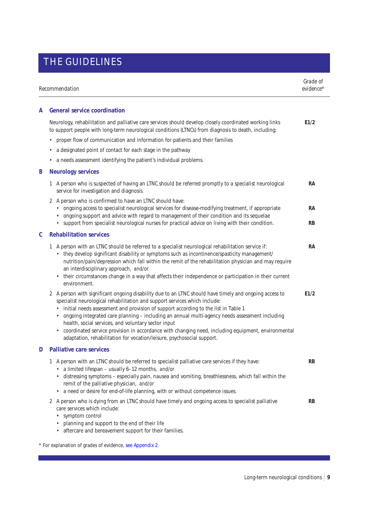# THE GUIDELINES

| Recommendation |                                                                                                                                                                                                                                                                                                                                                                                                                                                                                                                                                                                                                                  | Grade of<br>evidence* |  |
|----------------|----------------------------------------------------------------------------------------------------------------------------------------------------------------------------------------------------------------------------------------------------------------------------------------------------------------------------------------------------------------------------------------------------------------------------------------------------------------------------------------------------------------------------------------------------------------------------------------------------------------------------------|-----------------------|--|
| A              | <b>General service coordination</b>                                                                                                                                                                                                                                                                                                                                                                                                                                                                                                                                                                                              |                       |  |
|                | Neurology, rehabilitation and palliative care services should develop closely coordinated working links<br>to support people with long-term neurological conditions (LTNCs) from diagnosis to death, including:                                                                                                                                                                                                                                                                                                                                                                                                                  | E1/2                  |  |
|                | proper flow of communication and information for patients and their families                                                                                                                                                                                                                                                                                                                                                                                                                                                                                                                                                     |                       |  |
|                | a designated point of contact for each stage in the pathway<br>٠                                                                                                                                                                                                                                                                                                                                                                                                                                                                                                                                                                 |                       |  |
|                | a needs assessment identifying the patient's individual problems.                                                                                                                                                                                                                                                                                                                                                                                                                                                                                                                                                                |                       |  |
| B              | <b>Neurology services</b>                                                                                                                                                                                                                                                                                                                                                                                                                                                                                                                                                                                                        |                       |  |
|                | A person who is suspected of having an LTNC should be referred promptly to a specialist neurological<br>1<br>service for investigation and diagnosis.                                                                                                                                                                                                                                                                                                                                                                                                                                                                            | RA                    |  |
|                | 2 A person who is confirmed to have an LTNC should have:<br>ongoing access to specialist neurological services for disease-modifying treatment, if appropriate<br>$\bullet$<br>ongoing support and advice with regard to management of their condition and its sequelae<br>• support from specialist neurological nurses for practical advice on living with their condition.                                                                                                                                                                                                                                                    | RA<br>RB              |  |
| C              | <b>Rehabilitation services</b>                                                                                                                                                                                                                                                                                                                                                                                                                                                                                                                                                                                                   |                       |  |
|                | A person with an LTNC should be referred to a specialist neurological rehabilitation service if:<br>1<br>• they develop significant disability or symptoms such as incontinence/spasticity management/<br>nutrition/pain/depression which fall within the remit of the rehabilitation physician and may require<br>an interdisciplinary approach, and/or<br>their circumstances change in a way that affects their independence or participation in their current<br>environment.                                                                                                                                                | RA                    |  |
|                | 2 A person with significant ongoing disability due to an LTNC should have timely and ongoing access to<br>specialist neurological rehabilitation and support services which include:<br>initial needs assessment and provision of support according to the list in Table 1<br>ongoing integrated care planning - including an annual multi-agency needs assessment including<br>health, social services, and voluntary sector input<br>coordinated service provision in accordance with changing need, including equipment, environmental<br>$\bullet$<br>adaptation, rehabilitation for vocation/leisure, psychosocial support. | E1/2                  |  |
| D              | <b>Palliative care services</b>                                                                                                                                                                                                                                                                                                                                                                                                                                                                                                                                                                                                  |                       |  |
|                | 1 A person with an LTNC should be referred to specialist palliative care services if they have:<br>• a limited lifespan - usually 6-12 months, and/or<br>• distressing symptoms - especially pain, nausea and vomiting, breathlessness, which fall within the<br>remit of the palliative physician, and/or<br>• a need or desire for end-of-life planning, with or without competence issues.                                                                                                                                                                                                                                    | RB                    |  |
|                | 2 A person who is dying from an LTNC should have timely and ongoing access to specialist palliative<br>care services which include:<br>symptom control<br>$\bullet$<br>planning and support to the end of their life<br>aftercare and bereavement support for their families.                                                                                                                                                                                                                                                                                                                                                    | RB                    |  |

\* For explanation of grades of evidence[, see Appendix 2.](#page-14-0)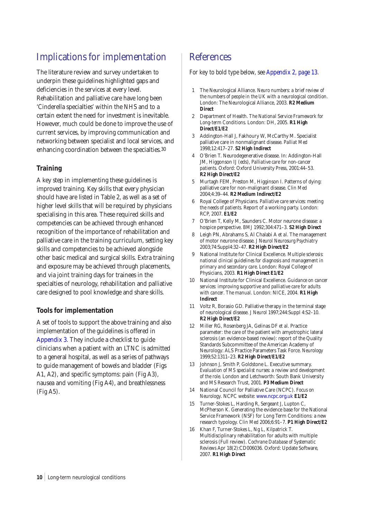# Implications for implementation

The literature review and survey undertaken to underpin these guidelines highlighted gaps and deficiencies in the services at every level. Rehabilitation and palliative care have long been 'Cinderella specialties' within the NHS and to a certain extent the need for investment is inevitable. However, much could be done to improve the use of current services, by improving communication and networking between specialist and local services, and enhancing coordination between the specialties.30

## **Training**

A key step in implementing these guidelines is improved training. Key skills that every physician should have are listed in Table 2, as well as a set of higher level skills that will be required by physicians specialising in this area. These required skills and competencies can be achieved through enhanced recognition of the importance of rehabilitation and palliative care in the training curriculum, setting key skills and competencies to be achieved alongside other basic medical and surgical skills. Extra training and exposure may be achieved through placements, and via joint training days for trainees in the specialties of neurology, rehabilitation and palliative care designed to pool knowledge and share skills.

## **Tools for implementation**

A set of tools to support the above training and also implementation of the guidelines is offered in [Appendix 3. T](#page-16-0)hey include a checklist to guide clinicians when a patient with an LTNC is admitted to a general hospital, as well as a series of pathways to guide management of bowels and bladder (Figs A1, A2), and specific symptoms: pain (Fig A3), nausea and vomiting (Fig A4), and breathlessness (Fig A5).

## References

### *For key to bold type below, [see Appendix 2,](#page-14-0) page 13.*

- 1 The Neurological Alliance. *Neuro numbers: a brief review of the numbers of people in the UK with a neurological condition*. London: The Neurological Alliance, 2003. **R2 Medium Direct**
- 2 Department of Health. *The National Service Framework for Long-term Conditions*. London: DH, 2005. **R1 High Direct/E1/E2**
- 3 Addington-Hall J, Fakhoury W, McCarthy M. Specialist palliative care in nonmalignant disease. *Palliat Med* 1998;12:417–27. **S2 High Indirect**
- 4 O'Brien T. Neurodegenerative disease. In: Addington-Hall JM, Higgonson IJ (eds), *Palliative care for non-cancer patients*. Oxford: Oxford University Press, 2001:44–53. **R2 High Direct/E2**
- 5 Murtagh FEM, Preston M, Higginson I. Patterns of dying: palliative care for non-malignant disease. *Clin Med* 2004;4:39–44. **R2 Medium Indirect/E2**
- 6 Royal College of Physicians. *Palliative care services: meeting the needs of patients*. Report of a working party. London: RCP, 2007. **E1/E2**
- 7 O'Brien T, Kelly M, Saunders C. Motor neurone disease: a hospice perspective. *BMJ* 1992;304:471–3. **S2 High Direct**
- 8 Leigh PN, Abrahams S, Al Chalabi A *et al*. The management of motor neurone disease. *J Neurol Neurosurg Psychiatry* 2003;74:Suppl4:32–47. **R2 High Direct/E2**
- 9 National Institute for Clinical Excellence. *Multiple sclerosis: national clinical guidelines for diagnosis and management in primary and secondary care*. London: Royal College of Physicians, 2003. **R1 High Direct E1/E2**
- 10 National Institute for Clinical Excellence. *Guidance on cancer services: improving supportive and palliative care for adults with cancer*. *The manual*. London: NICE, 2004. **R1 High Indirect**
- 11 Voltz R, Borasio GD. Palliative therapy in the terminal stage of neurological disease. *J Neurol* 1997;244:Suppl 4:S2–10. **R2 High Direct/E2**
- 12 Miller RG, Rosenberg JA, Gelinas DF *et al*. Practice parameter: the care of the patient with amyotrophic lateral sclerosis (an evidence-based review): report of the Quality Standards Subcommittee of the American Academy of Neurology: ALS Practice Parameters Task Force. *Neurology* 1999;52:1311–23. **R2 High Direct/E1/E2**
- 13 Johnson J, Smith P, Goldstone L. Executive summary. *Evaluation of MS specialist nurses: a review and development of the role*. London and Letchworth: South Bank University and MS Research Trust, 2001. **P3 Medium Direct**
- 14 National Council for Palliative Care (NCPC). *Focus on Neurology*. NCPC website: [www.ncpc.org.uk](http://www.ncpc.org.uk) **E1/E2**
- 15 Turner-Stokes L, Harding R, Sergeant J, Lupton C, McPherson K. Generating the evidence base for the National Service Framework (NSF) for Long Term Conditions: a new research typology. *Clin Med* 2006;6:91–7. **P1 High Direct/E2**
- 16 Khan F, Turner-Stokes L, Ng L, Kilpatrick T. Multidisciplinary rehabilitation for adults with multiple sclerosis (Full review). *Cochrane Database of Systematic Reviews* Apr 18(2):CD006036. Oxford: Update Software, 2007. **R1 High Direct**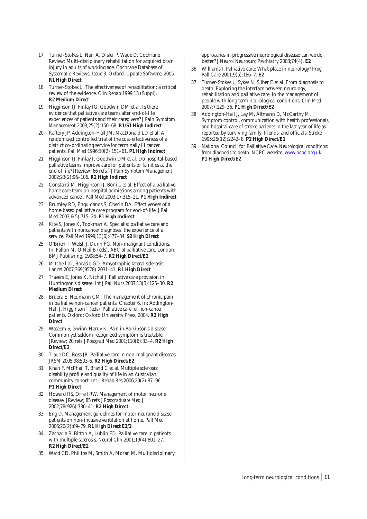- 17 Turner-Stokes L, Nair A, Disler P, Wade D. Cochrane Review: Multi-disciplinary rehabilitation for acquired brain injury in adults of working age. Cochrane Database of Systematic Reviews, Issue 3. Oxford: Update Software, 2005. **R1 High Direct**
- 18 Turner-Stokes L. The effectiveness of rehabilitation: a critical review of the evidence. *Clin Rehab* 1999;13 (Suppl). **R2 Medium Direct**
- 19 Higginson IJ, Finlay IG, Goodwin DM *et al*. Is there evidence that palliative care teams alter end-of-life experiences of patients and their caregivers? *J Pain Symptom Management* 2003;25(2):150–68. **R1/S1 High Indirect**
- 20 Raftery JP, Addington-Hall JM, MacDonald LD *et al*. A randomized controlled trial of the cost-effectiveness of a district co-ordinating service for terminally ill cancer patients. *Pall Med* 1996;10(2):151–61. **P1 High Indirect**
- 21 Higginson IJ, Finlay I, Goodwin DM *et al*. Do hospital-based palliative teams improve care for patients or families at the end of life? [Review; 66 refs.] *J Pain Symptom Management* 2002;23(2):96–106. **R2 High Indirect**
- 22 Constanti M, Higginson IJ, Boni L *et al*. Effect of a palliative home care team on hospital admissions among patients with advanced cancer. *Pall Med* 2003;17:315–21. **P1 High Indirect**
- 23 Brumley RD, Enguidanos S, Cherin DA. Effectiveness of a home-based palliative care program for end-of-life. *J Pall Med* 2003;6(5):715–24. **P1 High Indirect**
- 24 Kite S, Jones K, Tookman A. Specialist palliative care and patients with noncancer diagnoses: the experience of a service. *Pall Med* 1999;13(6):477–84. **S2 High Direct**
- 25 O'Brien T, Welsh J, Dunn FG. Non-malignant conditions. In: Fallon M, O'Neil B (eds), *ABC of palliative care*. London: BMJ Publishing, 1998:54–7. **R2 High Direct/E2**
- 26 Mitchell JD, Borasio GD. Amyotrophic lateral sclerosis. *Lancet* 2007;369(9578):2031–41. **R1 High Direct**
- 27 Travers E, Jones K, Nichol J. Palliative care provision in Huntington's disease. *Int J Pall Nurs* 2007;13(3):125–30. **R2 Medium Direct**
- 28 Bruera E, Neumann CM. The management of chronic pain in palliative non-cancer patients. Chapter 6. In: Addington-Hall J, Higginson I (eds), *Palliative care for non-cancer patients*. Oxford: Oxford University Press, 2004. **R2 High Direct**
- 29 Waseem S, Gwinn-Hardy K. Pain in Parkinson's disease. Common yet seldom recognized symptom is treatable. [Review; 20 refs.] *Postgrad Med* 2001;110(6):33–4. **R2 High Direct/E2**
- 30 Traue DC, Ross JR. Palliative care in non-malignant diseases. JRSM 2005;98:503-6. **R2 High Direct/E2**
- 31 Khan F, McPhail T, Brand C et al. Multiple sclerosis: disability profile and quality of life in an Australian community cohort. *Int J Rehab Res* 2006;29(2):87–96. **P1 High Direct**
- 32 Howard RS, Orrell RW. Management of motor neurone disease. [Review; 85 refs.] *Postgraduate Med J* 2002;78(926):736–41. **R2 High Direct**
- 33 Eng D. Management guidelines for motor neurone disease patients on non-invasive ventilation at home. *Pall Med* 2006;20(2):69–79. **R1 High Direct E1/2**
- 34 Zacharia B, Bitton A, Lublin FD. Palliative care in patients with multiple sclerosis. *Neurol Clin* 2001;19(4):801–27. **R2 High Direct/E2**
- 35 Ward CD, Phillips M, Smith A, Moran M. Multidisciplinary

approaches in progressive neurological disease: can we do better? *J Neurol Neurosurg Psychiatry* 2003;74(4). **E2**

- 36 Williams I. Palliative care: What place in neurology? *Prog Pall Care* 2001;9(5):186–7. **E2**
- 37 Turner-Stokes L, Sykes N, Silber E *et al*. From diagnosis to death: Exploring the interface between neurology, rehabilitation and palliative care, in the management of people with long term neurological conditions. *Clin Med* 2007;7:129–36. **P1 High Direct/E2**
- Addington-Hall J, Lay M, Altmann D, McCarthy M, Symptom control, communication with health professionals, and hospital care of stroke patients in the last year of life as reported by surviving family, friends, and officials. *Stroke* 1995;26(12):2242–8. **P2 High Direct/E1**
- 39 National Council for Palliative Care. *Neurological conditions: from diagnosis to death*. NCPC website: [www.ncpc.org.uk](http://www.ncpc.org.uk) **P1 High Direct/E2**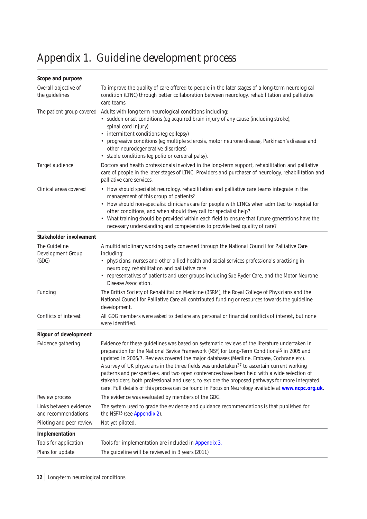# <span id="page-13-0"></span>Appendix 1. Guideline development process

| Scope and purpose                             |                                                                                                                                                                                                                                                                                                                                                                                                                                                                                                                                                                                                                                                                                                                        |
|-----------------------------------------------|------------------------------------------------------------------------------------------------------------------------------------------------------------------------------------------------------------------------------------------------------------------------------------------------------------------------------------------------------------------------------------------------------------------------------------------------------------------------------------------------------------------------------------------------------------------------------------------------------------------------------------------------------------------------------------------------------------------------|
| Overall objective of<br>the guidelines        | To improve the quality of care offered to people in the later stages of a long-term neurological<br>condition (LTNC) through better collaboration between neurology, rehabilitation and palliative<br>care teams.                                                                                                                                                                                                                                                                                                                                                                                                                                                                                                      |
| The patient group covered                     | Adults with long-term neurological conditions including:<br>· sudden onset conditions (eg acquired brain injury of any cause (including stroke),<br>spinal cord injury)<br>• intermittent conditions (eg epilepsy)<br>• progressive conditions (eg multiple sclerosis, motor neurone disease, Parkinson's disease and<br>other neurodegenerative disorders)<br>• stable conditions (eg polio or cerebral palsy).                                                                                                                                                                                                                                                                                                       |
| Target audience                               | Doctors and health professionals involved in the long-term support, rehabilitation and palliative<br>care of people in the later stages of LTNC. Providers and purchaser of neurology, rehabilitation and<br>palliative care services.                                                                                                                                                                                                                                                                                                                                                                                                                                                                                 |
| Clinical areas covered                        | • How should specialist neurology, rehabilitation and palliative care teams integrate in the<br>management of this group of patients?<br>• How should non-specialist clinicians care for people with LTNCs when admitted to hospital for<br>other conditions, and when should they call for specialist help?<br>• What training should be provided within each field to ensure that future generations have the<br>necessary understanding and competencies to provide best quality of care?                                                                                                                                                                                                                           |
| Stakeholder involvement                       |                                                                                                                                                                                                                                                                                                                                                                                                                                                                                                                                                                                                                                                                                                                        |
| The Guideline<br>Development Group<br>(GDG)   | A multidisciplinary working party convened through the National Council for Palliative Care<br>including:<br>• physicians, nurses and other allied health and social services professionals practising in<br>neurology, rehabilitation and palliative care<br>• representatives of patients and user groups including Sue Ryder Care, and the Motor Neurone<br>Disease Association.                                                                                                                                                                                                                                                                                                                                    |
| Funding                                       | The British Society of Rehabilitation Medicine (BSRM), the Royal College of Physicians and the<br>National Council for Palliative Care all contributed funding or resources towards the guideline<br>development.                                                                                                                                                                                                                                                                                                                                                                                                                                                                                                      |
| Conflicts of interest                         | All GDG members were asked to declare any personal or financial conflicts of interest, but none<br>were identified.                                                                                                                                                                                                                                                                                                                                                                                                                                                                                                                                                                                                    |
| <b>Rigour of development</b>                  |                                                                                                                                                                                                                                                                                                                                                                                                                                                                                                                                                                                                                                                                                                                        |
| Evidence gathering                            | Evidence for these guidelines was based on systematic reviews of the literature undertaken in<br>preparation for the National Sevice Framework (NSF) for Long-Term Conditions <sup>15</sup> in 2005 and<br>updated in 2006/7. Reviews covered the major databases (Medline, Embase, Cochrane etc).<br>A survey of UK physicians in the three fields was undertaken <sup>37</sup> to ascertain current working<br>patterns and perspectives, and two open conferences have been held with a wide selection of<br>stakeholders, both professional and users, to explore the proposed pathways for more integrated<br>care. Full details of this process can be found in Focus on Neurology available at www.ncpc.org.uk. |
| Review process                                | The evidence was evaluated by members of the GDG.                                                                                                                                                                                                                                                                                                                                                                                                                                                                                                                                                                                                                                                                      |
| Links between evidence<br>and recommendations | The system used to grade the evidence and guidance recommendations is that published for<br>the NSF <sup>15</sup> (see Appendix 2).                                                                                                                                                                                                                                                                                                                                                                                                                                                                                                                                                                                    |
| Piloting and peer review                      | Not yet piloted.                                                                                                                                                                                                                                                                                                                                                                                                                                                                                                                                                                                                                                                                                                       |
| Implementation                                |                                                                                                                                                                                                                                                                                                                                                                                                                                                                                                                                                                                                                                                                                                                        |
| Tools for application                         | Tools for implementation are included in Appendix 3.                                                                                                                                                                                                                                                                                                                                                                                                                                                                                                                                                                                                                                                                   |
| Plans for update                              | The guideline will be reviewed in 3 years (2011).                                                                                                                                                                                                                                                                                                                                                                                                                                                                                                                                                                                                                                                                      |

12 Long-term neurological conditions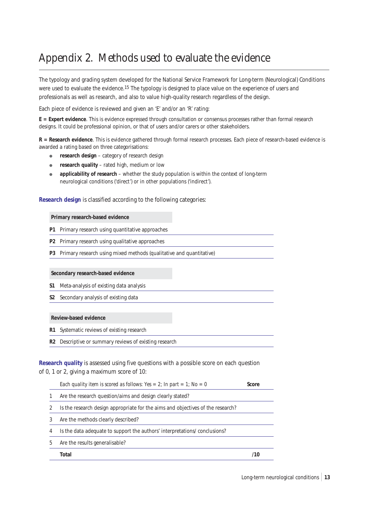# <span id="page-14-0"></span>Appendix 2. Methods used to evaluate the evidence

The typology and grading system developed for the National Service Framework for Long-term (Neurological) Conditions were used to evaluate the evidence.15 The typology is designed to place value on the experience of users and professionals as well as research, and also to value high-quality research regardless of the design.

Each piece of evidence is reviewed and given an 'E' and/or an 'R' rating:

**E = Expert evidence**. This is evidence expressed through consultation or consensus processes rather than formal research designs. It could be professional opinion, or that of users and/or carers or other stakeholders.

**R = Research evidence**. This is evidence gathered through formal research processes. Each piece of research-based evidence is awarded a rating based on three categorisations:

- **e** research design category of research design
- **e** research quality rated high, medium or low
- applicability of research whether the study population is within the context of long-term neurological conditions ('direct') or in other populations ('indirect').

### **Research design** is classified according to the following categories:

#### **Primary research-based evidence**

**P1** Primary research using quantitative approaches

**P2** Primary research using qualitative approaches

**P3** Primary research using mixed methods (qualitative and quantitative)

### **Secondary research-based evidence**

- **S1** Meta-analysis of existing data analysis
- **S2** Secondary analysis of existing data

### **Review-based evidence**

- **R1** Systematic reviews of existing research
- **R2** Descriptive or summary reviews of existing research

**Research quality** is assessed using five questions with a possible score on each question of 0, 1 or 2, giving a maximum score of 10:

|   | Total                                                                           |       |
|---|---------------------------------------------------------------------------------|-------|
| 5 | Are the results generalisable?                                                  |       |
| 4 | Is the data adequate to support the authors' interpretations/conclusions?       |       |
| 3 | Are the methods clearly described?                                              |       |
|   | Is the research design appropriate for the aims and objectives of the research? |       |
|   | Are the research question/aims and design clearly stated?                       |       |
|   | Each quality item is scored as follows: Yes = 2; In part = 1; No = 0            | Score |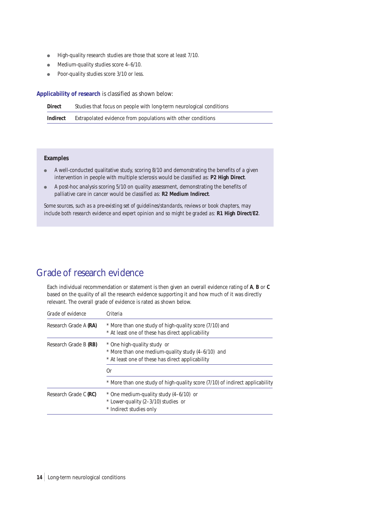- High-quality research studies are those that score at least 7/10.
- Medium-quality studies score 4-6/10.
- Poor-quality studies score 3/10 or less.

**Applicability of research** is classified as shown below:

| <b>Direct</b> | Studies that focus on people with long-term neurological conditions |
|---------------|---------------------------------------------------------------------|
| Indirect      | Extrapolated evidence from populations with other conditions        |

### **Examples**

- A well-conducted qualitative study, scoring 8/10 and demonstrating the benefits of a given intervention in people with multiple sclerosis would be classified as: **P2 High Direct**.
- A post-hoc analysis scoring 5/10 on quality assessment, demonstrating the benefits of palliative care in cancer would be classified as: **R2 Medium Indirect**.

*Some sources, such as a pre-existing set of guidelines/standards, reviews or book chapters, may include both research evidence and expert opinion and so might be graded as:* **R1 High Direct/E2**.

## Grade of research evidence

Each individual recommendation or statement is then given an overall evidence rating of **A**, **B** or **C** based on the quality of all the research evidence supporting it and how much of it was directly relevant. The overall grade of evidence is rated as shown below.

| Grade of evidence     | Criteria                                                                                                                                   |
|-----------------------|--------------------------------------------------------------------------------------------------------------------------------------------|
| Research Grade A (RA) | * More than one study of high-quality score (7/10) and<br>* At least one of these has direct applicability                                 |
| Research Grade B (RB) | * One high-quality study or<br>* More than one medium-quality study (4-6/10) and<br>* At least one of these has direct applicability<br>0r |
|                       | * More than one study of high-quality score (7/10) of indirect applicability                                                               |
| Research Grade C (RC) | * One medium-quality study (4-6/10) or<br>* Lower-quality (2-3/10) studies or<br>* Indirect studies only                                   |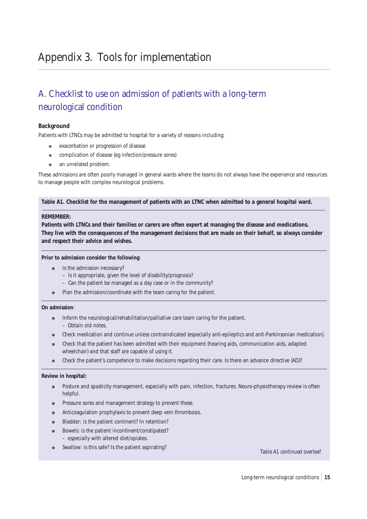# <span id="page-16-0"></span>Appendix 3. Tools for implementation

# A. Checklist to use on admission of patients with a long-term neurological condition

### **Background**

Patients with LTNCs may be admitted to hospital for a variety of reasons including:

- exacerbation or progression of disease
- complication of disease (eg infection/pressure sores)
- an unrelated problem.

These admissions are often poorly managed in general wards where the teams do not always have the experience and resources to manage people with complex neurological problems.

### **Table A1. Checklist for the management of patients with an LTNC when admitted to a general hospital ward.**

### **REMEMBER:**

**Patients with LTNCs and their families or carers are often expert at managing the disease and medications. They live with the consequences of the management decisions that are made on their behalf, so always consider and respect their advice and wishes.**

#### **Prior to admission consider the following**:

- Is the admission necessary?
	- Is it appropriate, given the level of disability/prognosis?
	- Can the patient be managed as a day case or in the community?
- Plan the admission/coordinate with the team caring for the patient.

### **On admission**:

- Inform the neurological/rehabilitation/palliative care team caring for the patient. – Obtain old notes.
- Check medication and continue unless contraindicated (especially anti-epileptics and anti-Parkinsonian medication).
- Check that the patient has been admitted with their equipment (hearing aids, communication aids, adapted wheelchair) and that staff are capable of using it.
- Check the patient's competence to make decisions regarding their care. Is there an advance directive (AD)?

#### **Review in hospital:**

- Posture and spasticity management, especially with pain, infection, fractures. Neuro-physiotherapy review is often helpful.
- Pressure sores and management strategy to prevent these.
- Anticoagulation prophylaxis to prevent deep vein thrombosis.
- Bladder: is the patient continent? In retention?
- Bowels: is the patient incontinent/constipated? – especially with altered diet/opiates.
- Swallow: is this safe? Is the patient aspirating?<br> **Table A1 continued overleaf**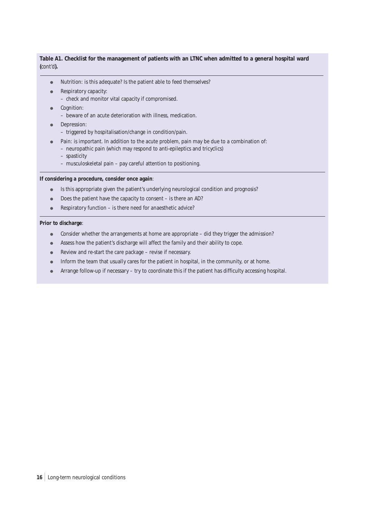### **Table A1. Checklist for the management of patients with an LTNC when admitted to a general hospital ward (***cont'd***).**

- Nutrition: is this adequate? Is the patient able to feed themselves?
- Respiratory capacity:
	- check and monitor vital capacity if compromised.
- Cognition:
	- beware of an acute deterioration with illness, medication.
- Depression:
	- triggered by hospitalisation/change in condition/pain.
- Pain: is important. In addition to the acute problem, pain may be due to a combination of:
	- neuropathic pain (which may respond to anti-epileptics and tricyclics)
	- spasticity
	- musculoskeletal pain pay careful attention to positioning.

## **If considering a procedure, consider once again**:

- Is this appropriate given the patient's underlying neurological condition and prognosis?
- Does the patient have the capacity to consent is there an AD?
- Respiratory function is there need for anaesthetic advice?

### **Prior to discharge**:

- Consider whether the arrangements at home are appropriate did they trigger the admission?
- Assess how the patient's discharge will affect the family and their ability to cope.
- Review and re-start the care package revise if necessary.
- Inform the team that usually cares for the patient in hospital, in the community, or at home.
- Arrange follow-up if necessary try to coordinate this if the patient has difficulty accessing hospital.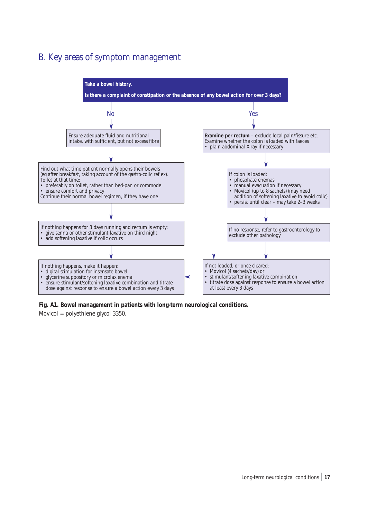# B. Key areas of symptom management



**Fig. A1. Bowel management in patients with long-term neurological conditions.** 

Movicol = polyethlene glycol 3350.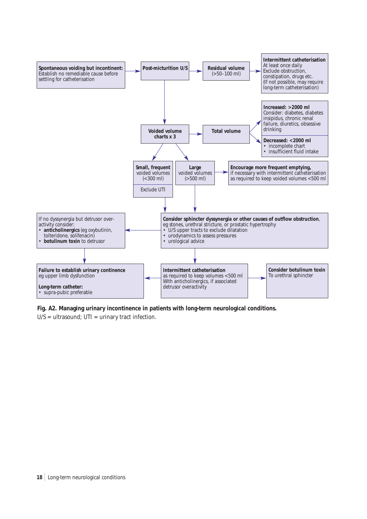

**Fig. A2. Managing urinary incontinence in patients with long-term neurological conditions.** 

 $U/S =$  ultrasound;  $UTI =$  urinary tract infection.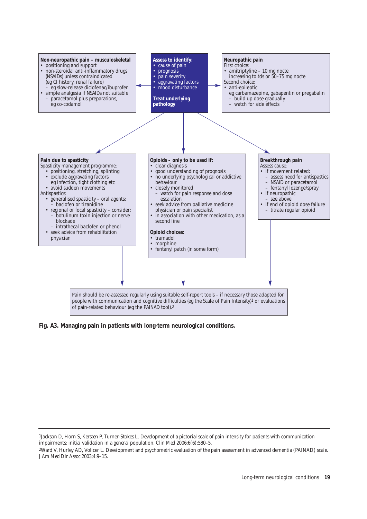

**Fig. A3. Managing pain in patients with long-term neurological conditions.**

<sup>1</sup>Jackson D, Horn S, Kersten P, Turner-Stokes L. Development of a pictorial scale of pain intensity for patients with communication impairments: initial validation in a general population. *Clin Med* 2006;6(6):580–5.

<sup>2</sup>Ward V, Hurley AD, Volicer L. Development and psychometric evaluation of the pain assessment in advanced dementia (PAINAD) scale. *J Am Med Dir Assoc* 2003;4:9–15.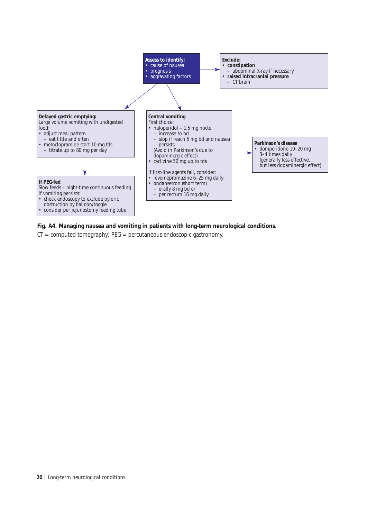

### **Fig. A4. Managing nausea and vomiting in patients with long-term neurological conditions.**

 $CT = computed tomography$ ;  $PEG = percutaneous endoscopic gastronomy$ .